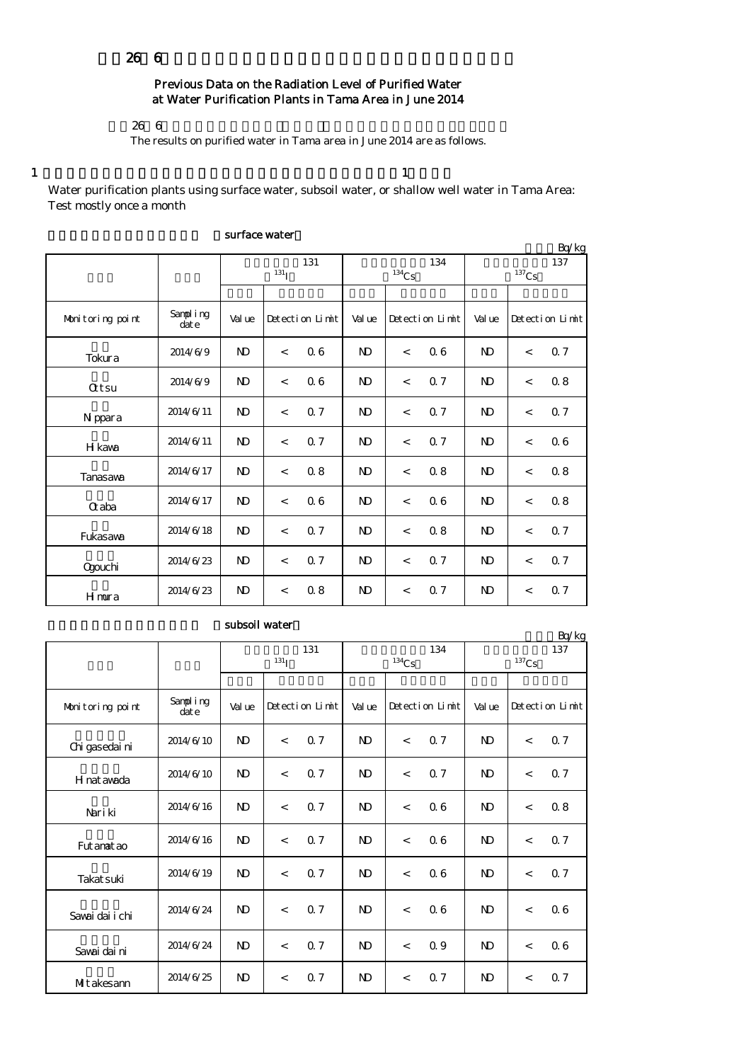## $2666$

# Previous Data on the Radiation Level of Purified Water at Water Purification Plants in Tama Area in June 2014

 $266$ 

The results on purified water in Tama area in June 2014 are as follows.

1  $\frac{1}{1}$ 

Water purification plants using surface water, subsoil water, or shallow well water in Tama Area: Test mostly once a month

|                  |                  |                   |                          |                 |                |                          |                 | Bq/kg           |         |                 |  |
|------------------|------------------|-------------------|--------------------------|-----------------|----------------|--------------------------|-----------------|-----------------|---------|-----------------|--|
|                  |                  | 131<br>$^{131}$ I |                          |                 |                | $^{134}\mathrm{Cs}$      | 134             | 137<br>$137$ Cs |         |                 |  |
|                  |                  |                   |                          |                 |                |                          |                 |                 |         |                 |  |
| Monitoring point | Sampling<br>date | Value             |                          | Detection Limit | Val ue         |                          | Detection Limit | Val ue          |         | Detection Limit |  |
| Tokura           | 2014/6/9         | $\mathbf{D}$      | $\lt$                    | 06              | $\mathbf{D}$   | $\lt$                    | 06              | N <sub>D</sub>  | $\,<$   | Q 7             |  |
| <b>Qtsu</b>      | 2014/6/9         | $\mathbf{N}$      | $\lt$                    | 06              | ND             | $\lt$                    | 0.7             | N <sub>D</sub>  | $\prec$ | 08              |  |
| N ppara          | 2014/6/11        | $\mathbf{N}$      | $\overline{\phantom{a}}$ | 0.7             | N <sub>D</sub> | $\overline{\phantom{a}}$ | Q <sub>7</sub>  | N <sub>D</sub>  | $\,<$   | Q 7             |  |
| H kawa           | 2014/6/11        | $\mathbf{N}$      | $\lt$                    | 0.7             | ND             | $\overline{\phantom{a}}$ | 0.7             | <b>ND</b>       | $\,<\,$ | 06              |  |
| Tanasawa         | 2014/6/17        | $\mathbf{N}$      | $\lt$                    | 0.8             | N <sub>D</sub> | $\,<$                    | 08              | N <sub>D</sub>  | $\,<$   | 0.8             |  |
| <b>G</b> aba     | 2014/6/17        | N <sub>D</sub>    | $\lt$                    | 06              | N <sub>D</sub> | $\lt$                    | 06              | N <sub>D</sub>  | $\,<\,$ | 08              |  |
| Fukasawa         | 2014/6/18        | $\mathbf{N}$      | $\overline{\phantom{a}}$ | 0.7             | N <sub>D</sub> | $\overline{\phantom{a}}$ | 0.8             | N <sub>D</sub>  | $\,<$   | 0.7             |  |
| Ogouchi          | 2014/6/23        | $\mathbf{N}$      | $\lt$                    | 0.7             | N <sub>D</sub> | $\lt$                    | Q 7             | N <sub>D</sub>  | $\,<\,$ | 0.7             |  |
| Hmura            | 2014/6/23        | $\mathbf{N}$      | $\,<\,$                  | 0.8             | N <sub>D</sub> | $\,<$                    | 0.7             | $\mathbf{D}$    | $\,<$   | 0.7             |  |

#### surface water

### subsoil water

| Bq/kg            |                   |                   |       |                 |              |                     |                 |                            |         |                 |  |
|------------------|-------------------|-------------------|-------|-----------------|--------------|---------------------|-----------------|----------------------------|---------|-----------------|--|
|                  |                   | 131<br>$^{131}$ I |       |                 |              | $^{134}\mathrm{Cs}$ | 134             | 137<br>$^{137}\mathrm{Cs}$ |         |                 |  |
|                  |                   |                   |       |                 |              |                     |                 |                            |         |                 |  |
| Monitoring point | Sampling<br>dat e | Value             |       | Detection Limit | Val ue       |                     | Detection Limit | Val ue                     |         | Detection Limit |  |
| Chi gasedai ni   | 2014/6/10         | N <sub>D</sub>    | $\lt$ | 0.7             | $\mathbf{D}$ | $\lt$               | 0.7             | N <sub>D</sub>             | $\lt$   | 0.7             |  |
| H nat awada      | 2014/6/10         | $\mathbf{D}$      | $\lt$ | 0.7             | $\mathbf{N}$ | $\,<\,$             | 0.7             | $\mathbf{N}$               | $\,<$   | 0.7             |  |
| Nari ki          | 2014/6/16         | $\mathbf{N}$      | $\lt$ | Q <sub>7</sub>  | $\mathbf{D}$ | $\lt$               | 06              | N <sub>D</sub>             | $\,<\,$ | 0.8             |  |
| Fut anat ao      | 2014/6/16         | N <sub>D</sub>    | $\lt$ | 0.7             | ND.          | $\,<\,$             | 06              | N <sub>D</sub>             | $\lt$   | 0.7             |  |
| Takat suki       | 2014/6/19         | $\mathbf{N}$      | $\lt$ | 0.7             | ND.          | $\,<\,$             | 06              | ND.                        | $\,<$   | 0.7             |  |
| Savai dai i chi  | 2014/6/24         | N <sub>D</sub>    | $\lt$ | 0.7             | ND.          | $\,<\,$             | 06              | N <sub>D</sub>             | $\prec$ | 06              |  |
| Savai dai ni     | 2014/6/24         | $\mathbf{N}$      | $\lt$ | Q <sub>7</sub>  | $\mathbf{D}$ | $\,<\,$             | 0.9             | N <sub>D</sub>             | $\,<$   | 06              |  |
| Mitakesann       | 2014/6/25         | $\mathbf{D}$      | $\,<$ | Q 7             | $\mathbf{D}$ | $\,<$               | 0.7             | $\mathbf{N}$               | $\,<$   | 0.7             |  |